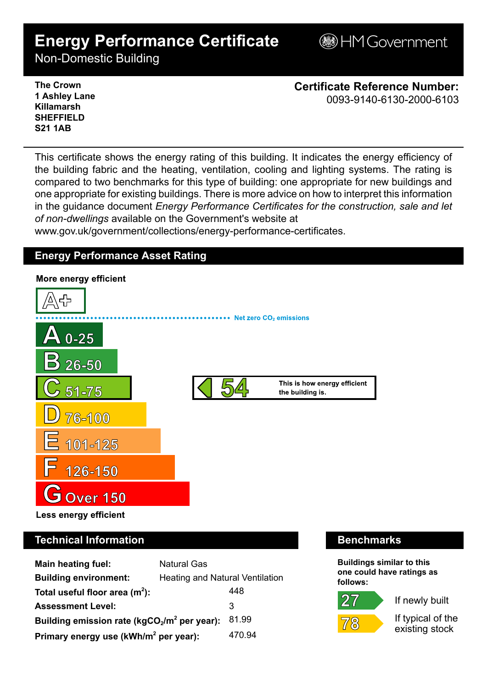# **Energy Performance Certificate**

**BHM Government** 

Non-Domestic Building

**The Crown 1 Ashley Lane Killamarsh SHEFFIELD S21 1AB**

**Certificate Reference Number:** 0093-9140-6130-2000-6103

This certificate shows the energy rating of this building. It indicates the energy efficiency of the building fabric and the heating, ventilation, cooling and lighting systems. The rating is compared to two benchmarks for this type of building: one appropriate for new buildings and one appropriate for existing buildings. There is more advice on how to interpret this information in the guidance document *Energy Performance Certificates for the construction, sale and let of non-dwellings* available on the Government's website at

www.gov.uk/government/collections/energy-performance-certificates.

# **Energy Performance Asset Rating**



# **Technical Information Benchmarks**

| <b>Main heating fuel:</b>                         | <b>Natural Gas</b>              |        |
|---------------------------------------------------|---------------------------------|--------|
| <b>Building environment:</b>                      | Heating and Natural Ventilation |        |
| Total useful floor area $(m2)$ :                  |                                 | 448    |
| <b>Assessment Level:</b>                          |                                 | 3      |
| Building emission rate ( $kgCO2/m2$ per year):    |                                 | 81.99  |
| Primary energy use (kWh/m <sup>2</sup> per year): |                                 | 470.94 |

**Buildings similar to this one could have ratings as follows:**

If newly built



 $27$ 

If typical of the existing stock